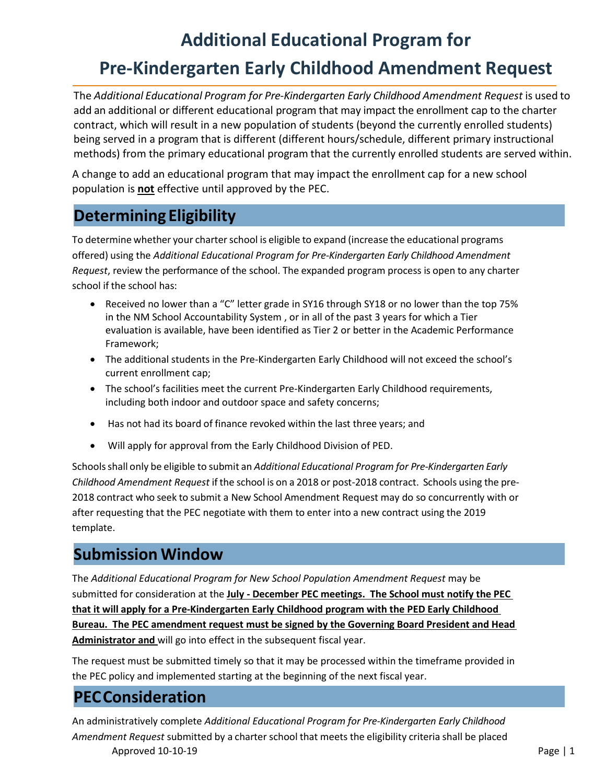# **Additional Educational Program for Pre-Kindergarten Early Childhood Amendment Request**

The *Additional Educational Program for Pre-Kindergarten Early Childhood Amendment Request* is used to add an additional or different educational program that may impact the enrollment cap to the charter contract, which will result in a new population of students (beyond the currently enrolled students) being served in a program that is different (different hours/schedule, different primary instructional methods) from the primary educational program that the currently enrolled students are served within.

A change to add an educational program that may impact the enrollment cap for a new school population is **not** effective until approved by the PEC.

# **Determining Eligibility**

To determine whether your charter school is eligible to expand (increase the educational programs offered) using the *Additional Educational Program for Pre-Kindergarten Early Childhood Amendment Request*, review the performance of the school. The expanded program process is open to any charter school if the school has:

- Received no lower than a "C" letter grade in SY16 through SY18 or no lower than the top 75% in the NM School Accountability System , or in all of the past 3 years for which a Tier evaluation is available, have been identified as Tier 2 or better in the Academic Performance Framework;
- The additional students in the Pre-Kindergarten Early Childhood will not exceed the school's current enrollment cap;
- The school's facilities meet the current Pre-Kindergarten Early Childhood requirements, including both indoor and outdoor space and safety concerns;
- Has not had its board of finance revoked within the last three years; and
- Will apply for approval from the Early Childhood Division of PED.

Schoolsshall only be eligible to submit an *Additional Educational Program for Pre-Kindergarten Early Childhood Amendment Request* if the school is on a 2018 or post-2018 contract. Schools using the pre-2018 contract who seek to submit a New School Amendment Request may do so concurrently with or after requesting that the PEC negotiate with them to enter into a new contract using the 2019 template.

# **Submission Window**

The *Additional Educational Program for New School Population Amendment Request* may be submitted for consideration at the **July - December PEC meetings. The School must notify the PEC that it will apply for a Pre-Kindergarten Early Childhood program with the PED Early Childhood Bureau. The PEC amendment request must be signed by the Governing Board President and Head Administrator and** will go into effect in the subsequent fiscal year.

The request must be submitted timely so that it may be processed within the timeframe provided in the PEC policy and implemented starting at the beginning of the next fiscal year.

## **PECConsideration**

Approved 10-10-19 Page | 1 An administratively complete *Additional Educational Program for Pre-Kindergarten Early Childhood Amendment Request* submitted by a charterschool that meets the eligibility criteria shall be placed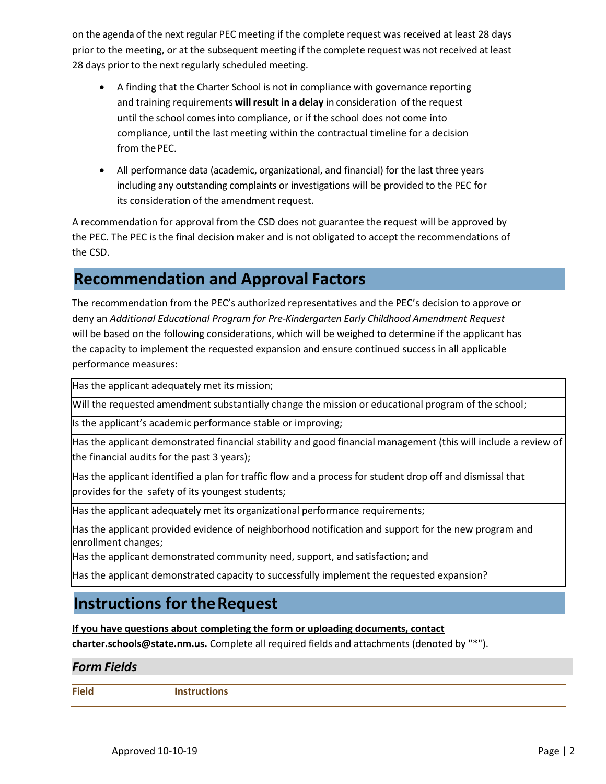on the agenda of the next regular PEC meeting if the complete request was received at least 28 days prior to the meeting, or at the subsequent meeting if the complete request was not received at least 28 days prior to the next regularly scheduled meeting.

- A finding that the Charter School is not in compliance with governance reporting and training requirements **will result in a delay** in consideration of the request until the school comes into compliance, or if the school does not come into compliance, until the last meeting within the contractual timeline for a decision from the PEC.
- All performance data (academic, organizational, and financial) for the last three years including any outstanding complaints or investigations will be provided to the PEC for its consideration of the amendment request.

A recommendation for approval from the CSD does not guarantee the request will be approved by the PEC. The PEC is the final decision maker and is not obligated to accept the recommendations of the CSD.

# **Recommendation and Approval Factors**

The recommendation from the PEC's authorized representatives and the PEC's decision to approve or deny an *Additional Educational Program for Pre-Kindergarten Early Childhood Amendment Request*  will be based on the following considerations, which will be weighed to determine if the applicant has the capacity to implement the requested expansion and ensure continued success in all applicable performance measures:

Has the applicant adequately met its mission;

Will the requested amendment substantially change the mission or educational program of the school;

Is the applicant's academic performance stable or improving;

Has the applicant demonstrated financial stability and good financial management (this will include a review of the financial audits for the past 3 years);

Has the applicant identified a plan for traffic flow and a process for student drop off and dismissal that provides for the safety of its youngest students;

Has the applicant adequately met its organizational performance requirements;

Has the applicant provided evidence of neighborhood notification and support for the new program and enrollment changes;

Has the applicant demonstrated community need, support, and satisfaction; and

Has the applicant demonstrated capacity to successfully implement the requested expansion?

## **Instructions for theRequest**

#### **If you have questions about completing the form or uploading documents, contact**

**[charter.schools@state.nm.us.](mailto:charter.schools@state.nm.us)** Complete all required fields and attachments (denoted by "\*").

#### *Form Fields*

**Field Instructions**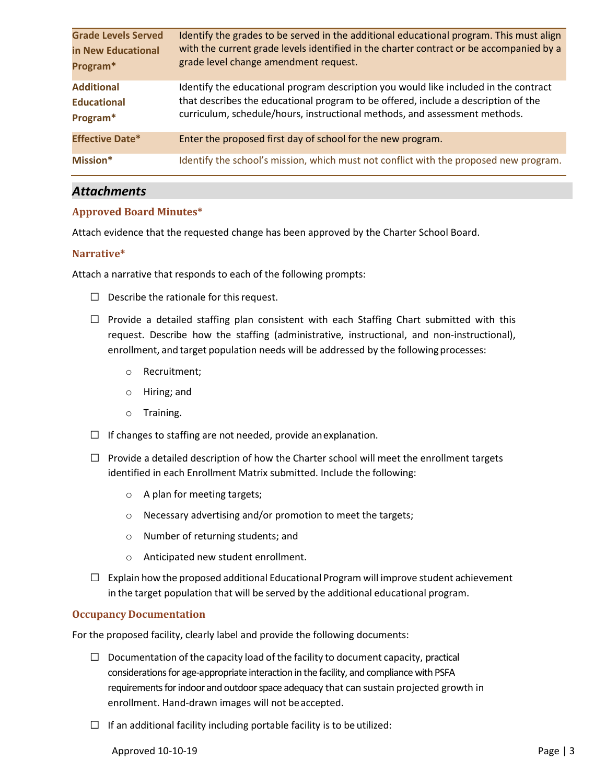| <b>Grade Levels Served</b> | Identify the grades to be served in the additional educational program. This must align |
|----------------------------|-----------------------------------------------------------------------------------------|
| in New Educational         | with the current grade levels identified in the charter contract or be accompanied by a |
| Program*                   | grade level change amendment request.                                                   |
| <b>Additional</b>          | Identify the educational program description you would like included in the contract    |
| <b>Educational</b>         | that describes the educational program to be offered, include a description of the      |
| Program*                   | curriculum, schedule/hours, instructional methods, and assessment methods.              |
| <b>Effective Date*</b>     | Enter the proposed first day of school for the new program.                             |
| Mission*                   | Identify the school's mission, which must not conflict with the proposed new program.   |

#### *Attachments*

#### **Approved Board Minutes\***

Attach evidence that the requested change has been approved by the Charter School Board.

#### **Narrative\***

Attach a narrative that responds to each of the following prompts:

- $\Box$  Describe the rationale for this request.
- $\Box$  Provide a detailed staffing plan consistent with each Staffing Chart submitted with this request. Describe how the staffing (administrative, instructional, and non-instructional), enrollment, and target population needs will be addressed by the following processes:
	- o Recruitment;
	- o Hiring; and
	- o Training.
- $\Box$  If changes to staffing are not needed, provide an explanation.
- $\Box$  Provide a detailed description of how the Charter school will meet the enrollment targets identified in each Enrollment Matrix submitted. Include the following:
	- o A plan for meeting targets;
	- o Necessary advertising and/or promotion to meet the targets;
	- o Number of returning students; and
	- o Anticipated new student enrollment.
- $\square$  Explain how the proposed additional Educational Program will improve student achievement in the target population that will be served by the additional educational program.

#### **Occupancy Documentation**

For the proposed facility, clearly label and provide the following documents:

- $\Box$  Documentation of the capacity load of the facility to document capacity, practical considerations for age-appropriate interaction in the facility, and compliance with PSFA requirements for indoor and outdoor space adequacy that can sustain projected growth in enrollment. Hand-drawn images will not be accepted.
- $\Box$  If an additional facility including portable facility is to be utilized:

Approved 10-10-19 Page | 3